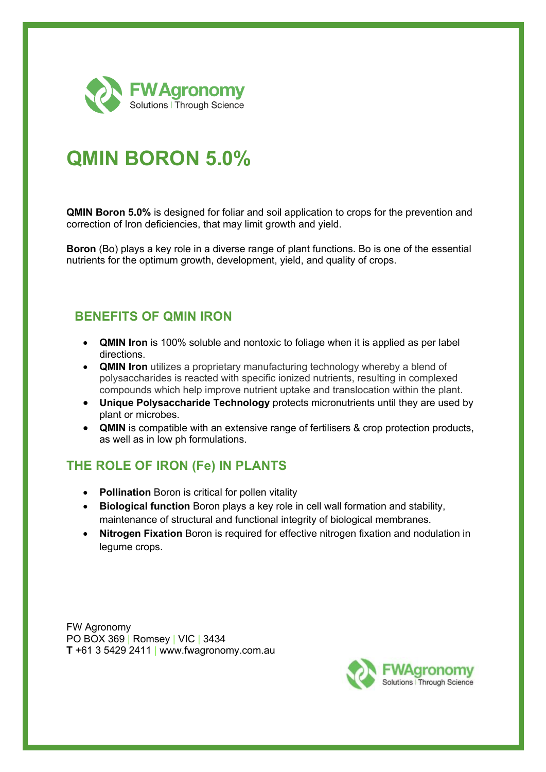

# **QMIN BORON 5.0%**

**QMIN Boron 5.0%** is designed for foliar and soil application to crops for the prevention and correction of Iron deficiencies, that may limit growth and yield.

**Boron** (Bo) plays a key role in a diverse range of plant functions. Bo is one of the essential nutrients for the optimum growth, development, yield, and quality of crops.

#### **BENEFITS OF QMIN IRON**

- **QMIN Iron** is 100% soluble and nontoxic to foliage when it is applied as per label directions.
- **QMIN Iron** utilizes a proprietary manufacturing technology whereby a blend of polysaccharides is reacted with specific ionized nutrients, resulting in complexed compounds which help improve nutrient uptake and translocation within the plant.
- **Unique Polysaccharide Technology** protects micronutrients until they are used by plant or microbes.
- **QMIN** is compatible with an extensive range of fertilisers & crop protection products, as well as in low ph formulations.

### **THE ROLE OF IRON (Fe) IN PLANTS**

- **Pollination** Boron is critical for pollen vitality
- **Biological function** Boron plays a key role in cell wall formation and stability, maintenance of structural and functional integrity of biological membranes.
- **Nitrogen Fixation** Boron is required for effective nitrogen fixation and nodulation in legume crops.

FW Agronomy PO BOX 369 | Romsey | VIC | 3434 **T** +61 3 5429 2411 | www.fwagronomy.com.au